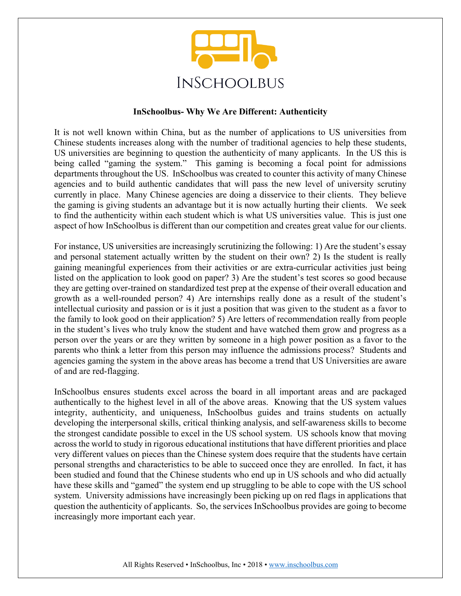

## **InSchoolbus- Why We Are Different: Authenticity**

It is not well known within China, but as the number of applications to US universities from Chinese students increases along with the number of traditional agencies to help these students, US universities are beginning to question the authenticity of many applicants. In the US this is being called "gaming the system." This gaming is becoming a focal point for admissions departments throughout the US. InSchoolbus was created to counter this activity of many Chinese agencies and to build authentic candidates that will pass the new level of university scrutiny currently in place. Many Chinese agencies are doing a disservice to their clients. They believe the gaming is giving students an advantage but it is now actually hurting their clients. We seek to find the authenticity within each student which is what US universities value. This is just one aspect of how InSchoolbus is different than our competition and creates great value for our clients.

For instance, US universities are increasingly scrutinizing the following: 1) Are the student's essay and personal statement actually written by the student on their own? 2) Is the student is really gaining meaningful experiences from their activities or are extra-curricular activities just being listed on the application to look good on paper? 3) Are the student's test scores so good because they are getting over-trained on standardized test prep at the expense of their overall education and growth as a well-rounded person? 4) Are internships really done as a result of the student's intellectual curiosity and passion or is it just a position that was given to the student as a favor to the family to look good on their application? 5) Are letters of recommendation really from people in the student's lives who truly know the student and have watched them grow and progress as a person over the years or are they written by someone in a high power position as a favor to the parents who think a letter from this person may influence the admissions process? Students and agencies gaming the system in the above areas has become a trend that US Universities are aware of and are red-flagging.

InSchoolbus ensures students excel across the board in all important areas and are packaged authentically to the highest level in all of the above areas. Knowing that the US system values integrity, authenticity, and uniqueness, InSchoolbus guides and trains students on actually developing the interpersonal skills, critical thinking analysis, and self-awareness skills to become the strongest candidate possible to excel in the US school system. US schools know that moving across the world to study in rigorous educational institutions that have different priorities and place very different values on pieces than the Chinese system does require that the students have certain personal strengths and characteristics to be able to succeed once they are enrolled. In fact, it has been studied and found that the Chinese students who end up in US schools and who did actually have these skills and "gamed" the system end up struggling to be able to cope with the US school system. University admissions have increasingly been picking up on red flags in applications that question the authenticity of applicants. So, the services InSchoolbus provides are going to become increasingly more important each year.